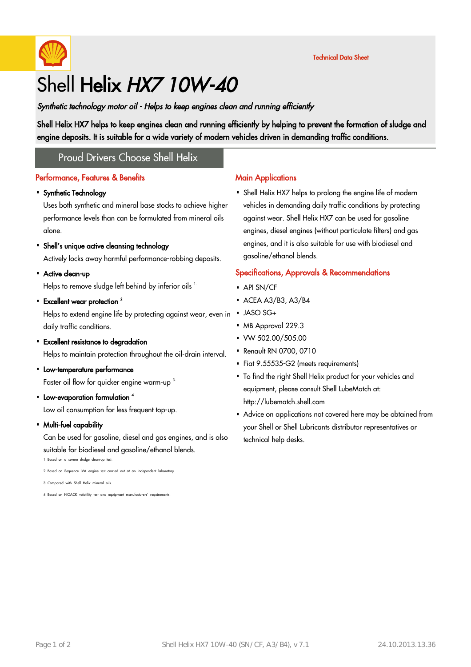

# Shell Helix HX7 10W-40

Synthetic technology motor oil - Helps to keep engines clean and running efficiently

Shell Helix HX7 helps to keep engines clean and running efficiently by helping to prevent the formation of sludge and engine deposits. It is suitable for a wide variety of modern vehicles driven in demanding traffic conditions.

### **Proud Drivers Choose Shell Helix**

#### Performance, Features & Benefits

# Synthetic Technology ·

Uses both synthetic and mineral base stocks to achieve higher performance levels than can be formulated from mineral oils alone.

# Shell's unique active cleansing technology ·

Actively locks away harmful performance-robbing deposits.

• Active clean-up

Helps to remove sludge left behind by inferior oils <sup>1.</sup>

• Excellent wear protection  $^2$ 

Helps to extend engine life by protecting against wear, even in . daily traffic conditions.

• Excellent resistance to degradation

Helps to maintain protection throughout the oil-drain interval.

- Low-temperature performance Faster oil flow for quicker engine warm-up<sup>3.</sup>
- Low-evaporation formulation <sup>4</sup> Low oil consumption for less frequent top-up.
- Multi-fuel capability ·

Can be used for gasoline, diesel and gas engines, and is also suitable for biodiesel and gasoline/ethanol blends.

1 Based on a severe sludge clean-up test.

### 2 Based on Sequence IVA engine test carried out at an independent laboratory.

3 Compared with Shell Helix mineral oils.

4 Based on NOACK volatility test and equipment manufacturers' requirements.

#### **Main Applications**

Shell Helix HX7 helps to prolong the engine life of modern · vehicles in demanding daily traffic conditions by protecting against wear. Shell Helix HX7 can be used for gasoline engines, diesel engines (without particulate filters) and gas engines, and it is also suitable for use with biodiesel and gasoline/ethanol blends.

#### Specifications, Approvals & Recommendations

- $-$  API SN/CF
- $\triangle$  ACEA A3/B3, A3/B4
- JASO SG+
- MB Approval 229.3
- $\cdot$  VW 502.00/505.00
- Renault RN 0700, 0710
- Fiat 9.55535-G2 (meets requirements)
- To find the right Shell Helix product for your vehicles and · equipment, please consult Shell LubeMatch at: http://lubematch.shell.com
- Advice on applications not covered here may be obtained from your Shell or Shell Lubricants distributor representatives or technical help desks.